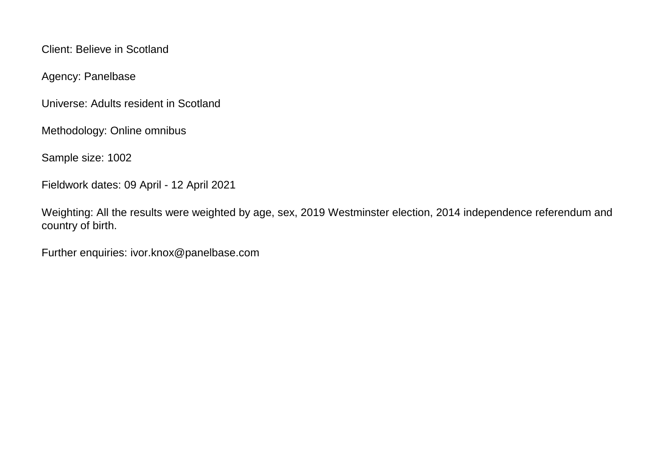Client: Believe in Scotland

Agency: Panelbase

Universe: Adults resident in Scotland

Methodology: Online omnibus

Sample size: 1002

Fieldwork dates: 09 April - 12 April 2021

Weighting: All the results were weighted by age, sex, 2019 Westminster election, 2014 independence referendum and country of birth.

Further enquiries: ivor.knox@panelbase.com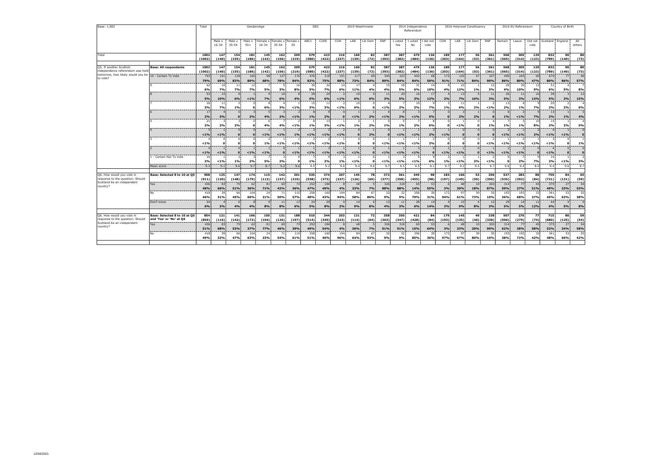| Base: 1,002                                                        |                              | Total          | GenderxAge          |                     |                 |                       |                              |              |              | SEG               |              | 2019 Westminster |              |              |                | 2014 Independence<br>Referendum |                   |              |                      | 2016 Holyrood Constituency |              |                     | 2016 EU Referendum |                 | Country of Birth |              |               |  |
|--------------------------------------------------------------------|------------------------------|----------------|---------------------|---------------------|-----------------|-----------------------|------------------------------|--------------|--------------|-------------------|--------------|------------------|--------------|--------------|----------------|---------------------------------|-------------------|--------------|----------------------|----------------------------|--------------|---------------------|--------------------|-----------------|------------------|--------------|---------------|--|
|                                                                    |                              |                | Male x<br>$16 - 34$ | Male x<br>$35 - 54$ | Male x<br>$55+$ | Female x<br>$16 - 34$ | Female x Female<br>$35 - 54$ | 55           | ABC1         | C2DE              | CON          | LAB              | Lib Dem      | SNP          | I voted<br>Yes | I voted<br>No                   | I did not<br>vote | CON          | LAB                  | Lib Dem                    | SNP          | Remain              | Leave              | Did not<br>vote | Scotland England |              | All<br>others |  |
| Total                                                              |                              | 1002<br>(1002) | 147<br>(140)        | 154<br>(155)        | 181<br>(186)    | 145<br>(142)          | 162<br>(156)                 | 209<br>(219) | 579<br>(580) | 423<br>(422)      | 216<br>(237) | 160<br>(139)     | 82<br>(72)   | 387<br>(393) | 387<br>(382)   | 479<br>(484)                    | 136<br>(136)      | 189<br>(203) | 177<br>(164)         | 56<br>(53)                 | 361<br>(361) | 568<br>(565)        | 305<br>(314)       | 129<br>(123)    | 832<br>(789)     | 90<br>(140)  | 80<br>(73)    |  |
| Q5. If another Scottish                                            | <b>Base: All respondents</b> | 1002           | 147                 | 154                 | 181             | 145                   | 162                          | 209          | 579          | 423               | 216          | 160              | 82           | 387          | 387            | 479                             | 136               | 189          | 177                  | 56                         | 361          | 568                 | 305                | 129             | 832              | 90           | 80            |  |
| independence referendum was held                                   |                              | (1002)         | (140)               | (155)               | (186)           | (142)                 | (156)                        | (219)        | (580)        | (422)             | (237)        | (139)            | (72)         | (393)        | (382)          | (484)                           | (136)             | (203)        | (164)                | (53)                       | (361)        | (565)               | (314)              | (123)           | (789)            | (140)        | (73)          |  |
| tomorrow, how likely would you be 10 - Certain To Vote<br>to vote? |                              | 793            | 101                 | 128                 | 160             | 98                    | 127                          | 176          | 476          | 318               | 191          | 117              | 69           | 345          | 323            | 402                             | 68                | 172          | 125                  | 47                         | 327          | 490                 | 243                | 60              | 670              | 77           | 46            |  |
|                                                                    |                              | 79%<br>62      | 69%<br>10           | 83%<br>11           | 89%<br>12       | 68%                   | 78%                          | 84%<br>16    | 82%<br>30    | 75%<br>32         | 88%<br>14    | 73%<br>17        | 84%          | 89%<br>15    | 84%<br>18      | 84%<br>31                       | 50%<br>14         | 91%          | 71%<br>22            | 84%                        | 90%<br>12    | 86%<br>20           | 80%<br>30          | 47%<br>12       | 80%<br>-51       | 86%          | 57%           |  |
|                                                                    |                              | 6%             | 7%                  | 7%                  | 7%              | 5%                    | 3%                           | 8%           | 5%           | 7%                | 6%           | 11%              | 4%           | 4%           | 5%             | 6%                              | 10%               | 4%           | 12%                  | 1%                         | 3%           | 4%                  | 10%                | 9%              | 6%               | 5%           | 8%            |  |
|                                                                    |                              | 53             | 15                  |                     |                 |                       | 10                           |              | 29           | 24                |              | 10               |              | 11           | 20             | 16                              | 17                |              | 13                   |                            | 11           | 26                  | 11                 | 16              | 39               |              | 12            |  |
|                                                                    |                              | 5%<br>26       | 10%                 | 6%                  | $< 1\%$         | 7%                    | 6%                           | 4%           | 5%<br>15     | 6%<br>$1^{\circ}$ | < 1%         | 6%<br>10         | 6%           | 3%           | 5%             | 3%<br>10                        | 12%               | 2%           | 7%<br>11             | 10%                        | 3%           | 5%<br>13            | 3%                 | 13%             | 5%<br>20         | 3%           | 15%           |  |
|                                                                    |                              | 3%             | 7%                  | 1%                  | $\Omega$        | 6%                    | 3%                           | $< 1\%$      | 3%           | 3%                | < 1%         | 6%               | $\mathbf{r}$ | $< 1\%$      | 2%             | 2%                              | 7%                | 1%           | 6%                   | 2%                         | $< 1\%$      | 2%                  | 1%                 | 7%              | 2%               | 2%           | 6%            |  |
|                                                                    |                              | 17             |                     |                     |                 |                       |                              |              | 8            |                   |              |                  |              |              |                |                                 |                   |              |                      |                            |              | 6                   |                    |                 | 13               |              |               |  |
|                                                                    |                              | 2%<br>21       | 3%                  | $\Omega$            | 2%              | 4%                    | 2%                           | $< 1\%$      | 1%<br>8      | 2%<br>-13         | n            | $< 1\%$          | 2%           | $< 1\%$      | 2%             | $< 1\%$                         | 5%                | n            | 2%                   | 2%                         |              | 1%                  | < 1%               | 7%<br>10        | 2%<br>15         | $1\%$        | 4%            |  |
|                                                                    |                              | 2%             | 2%                  | 2%                  | $\Omega$        | 4%                    | 4%                           | < 1%         | 1%           | 3%                | 1%           | 1%               | 2%           | 1%           | 1%             | 2%                              | 6%                | 0            | $< 1\%$              | $\Omega$                   | 1%           | 1%                  | 1%                 | 8%              | 2%               | 2%           | 5%            |  |
|                                                                    |                              |                |                     |                     | $\Omega$        |                       |                              |              |              |                   |              | $\Omega$         |              |              |                |                                 |                   |              | $\Omega$             |                            |              |                     |                    |                 |                  |              |               |  |
|                                                                    |                              | < 1%           | $1\%$               | $\mathbf{0}$        | $\Omega$        | $< 1\%$               | $< 1\%$                      | 1%           | $< 1\%$      | < 1%              | < 1%         | $\mathbf{0}$     | 2%           | $\Omega$     | $< 1\%$        | $< 1\%$                         | 2%                | $< 1\%$      | $\Omega$<br>$\Omega$ | $\Omega$                   |              | $< 1\%$             | < 1%               | 2%              | $< 1\%$          | $< 1\%$<br>n | $\Omega$      |  |
|                                                                    |                              | < 1%           | $\Omega$            | o                   | $\Omega$        | 1%                    | $< 1\%$                      | $< 1\%$      | $< 1\%$      | < 1%              | 1%           | $\Omega$         | $\Omega$     | $< 1\%$      | $< 1\%$        | $< 1\%$                         | 2%                | $\Omega$     | $\Omega$             | $\Omega$                   | < 1%         | $< 1\%$             | < 1%               | $< 1\%$         | < 1%             | $\Omega$     | 1%            |  |
|                                                                    |                              |                |                     |                     |                 |                       |                              |              |              |                   |              |                  |              |              |                |                                 |                   |              |                      |                            |              |                     |                    |                 |                  |              |               |  |
|                                                                    | - Certain Not To Vote        | < 1%<br>16     | < 1%                | $\mathbf{0}$        | $< 1\%$         | $< 1\%$               | $\Omega$                     | $< 1\%$      | $< 1\%$      | < 1%              | < 1%         | $< 1\%$          | $\Omega$     | < 1%         | $< 1\%$        | $< 1\%$                         | $\Omega$          | $< 1\%$      | $< 1\%$              | $\Omega$                   | < 1%         | $< 1\%$<br>$\Omega$ | < 1%               | $\Omega$        | $< 1\%$<br>14    | $\Omega$     | $\mathbf{o}$  |  |
|                                                                    |                              | 2%             | < 1%                | 1%                  | 2%              | 5%                    | 2%                           |              | 1%           | 2%                | 1%           | $< 1\%$          | $\Omega$     | $< 1\%$      | $< 1\%$        | $< 1\%$                         | 6%                | 1%           | $< 1\%$              | 2%                         | < 1%         | o                   | 2%                 | 7%              | 2%               | $< 1\%$      | 3%            |  |
|                                                                    | Mean score                   | 9.3            | 9.1                 | 9.6                 | 9.7             | 8.7                   | 9.2                          | 9.6          | 9.5          | 9.2               | 9.6          | 9.4              | 9.6          | 9.7          | 9.5            | 9.5                             | 8.1               | 9.7          | 9.3                  | 9.5                        | 9.7          | 9.6                 | 9.4                | 8.0             | 9.4              | 9.6          | 8.7           |  |
| Q6. How would you vote in                                          | Base: Selected 8 to 10 at O! | 908            | 125                 | 147                 | 174             |                       | 142                          |              | 535          | 374               | 207          | 145              | 78           | 372          | 361            | 449                             | 98                |              | 160                  | 53                         | 350          | 537                 | 283                | 88              | 759              | 84           | 65            |  |
| response to the question: Should                                   |                              | (911)          | (120)               | (148)               | (179)           | 115<br>(113)          | (137)                        | 201<br>(210) | (538)        | (373)             | (227)        | (126)            | (69)         | (377)        | (358)          | (455)                           | (98)              | 183<br>(197) | (149)                | (50)                       | (350)        | (535)               | (292)              | (84)            | (721)            | (131)        | (59)          |  |
| Scotland be an independent<br>country?                             | Yes                          | 436            | 83                  | 75                  | 62              | 81                    | 60                           | 73           | 252          | 184               |              | 48               |              | 326          | 318            | 65                              | 53                |              | 48                   | 10                         | 303          | 314                 | 77                 | 45              | 375              | 27           | 34            |  |
|                                                                    | No                           | 48%            | 66%                 | 51%                 | 36%             | 71%<br>24             | 42%<br>71                    | 36%          | 47%          | 49%               | 4%           | 33%<br>84        | 7%<br>67     | 88%          | 88%            | 14%                             | 55%<br>30         | 3%           | 30%                  | 18%<br>39                  | 87%          | 59%                 | 27%                | 51%             | 49%              | 33%          | 53%<br>25     |  |
|                                                                    |                              | 418<br>46%     | 39<br>31%           | -66<br>45%          | 104<br>60%      | 21%                   | 50%                          | 115<br>57%   | 258<br>48%   | 160<br>43%        | 194<br>94%   | 58%              | 86%          | 32<br>9%     | 32<br>9%       | 356<br>79%                      | 31%               | 172<br>94%   | 97<br>61%            | 73%                        | 35<br>10%    | 193<br>36%          | 193<br>68%         | 32<br>37%       | 341<br>45%       | 53<br>63%    | 38%           |  |
|                                                                    | Don't know                   | 54             |                     |                     |                 |                       | 11                           | 13           | 24           | 2 <sup>5</sup>    |              | 14               |              | 13           | 11             | 28                              | 14                |              | 15                   |                            | 12           | 29                  | 14                 | 11              | 44               |              |               |  |
|                                                                    |                              | 6%             | 3%                  | 4%                  | 4%              | 8%                    | 8%                           | 6%           | 5%           | 8%                | 2%           | 9%               | 8%           | 4%           | 3%             | 6%                              | 14%               | 2%           | 9%                   | 8%                         | 3%           | 5%                  | 5%                 | 12%             | 6%               | 5%           | 8%            |  |
| Q6. How would you vote in                                          | Base: Selected 8 to 10 at O5 | 854            | 121                 | 141                 | 166             | 105                   | 131                          | 188          | 510          | 344               | 203          | 131              | 72           | 358          | 350            | 421                             | 84                | 179          | 145                  | 49                         | 338          | 507                 | 270                | 77              | 715              | 80           | 59            |  |
| response to the question: Should                                   | and 'Yes' or 'No' at Q6      | (859)          | (116)               | (142)               | (172)           | (104)                 | (126)                        | (197)        | (514)        | (345)             | (223)        | (114)            | (64)         | (363)        | (347)          | (428)                           | (84)              | (193)        | (135)                | (46)                       | (338)        | (506)               | (279)              | (74)            | (680)            | (125)        | (54)          |  |
| Scotland be an independent<br>country?                             | Yes                          | 436            | 83                  | 75                  | 62              | 81                    | 60                           | 73           | 252          | 184               |              | 48               |              | 326          | 318            | 65                              | 53                | -6           | 48                   | 10                         | 303          | 314                 | 77                 | 45              | 375              | 27           | 34            |  |
|                                                                    | No                           | 51%<br>418     | 68%<br>39           | 53%<br>66           | 37%<br>104      | 77%<br>24             | 46%<br>71                    | 39%<br>115   | 49%<br>258   | 54%<br>160        | 4%<br>194    | 36%<br>84        | 7%<br>67     | 91%<br>32    | 91%<br>32      | 15%<br>356                      | 64%<br>30         | 3%<br>172    | 33%<br>97            | 20%<br>39                  | 90%<br>35    | 62%<br>193          | 28%<br>193         | 58%<br>32       | 52%<br>341       | 34%<br>53    | 58%<br>25     |  |
|                                                                    |                              | 49%            | 32%                 | 47%                 | 63%             | 23%                   | 54%                          | 61%          | 51%          | 46%               | 96%          | 64%              | 93%          | 9%           | 9%             | 85%                             | 36%               | 97%          | 67%                  | 80%                        | 10%          | 38%                 | 72%                | 42%             | 48%              | 66%          | 42%           |  |
|                                                                    |                              |                |                     |                     |                 |                       |                              |              |              |                   |              |                  |              |              |                |                                 |                   |              |                      |                            |              |                     |                    |                 |                  |              |               |  |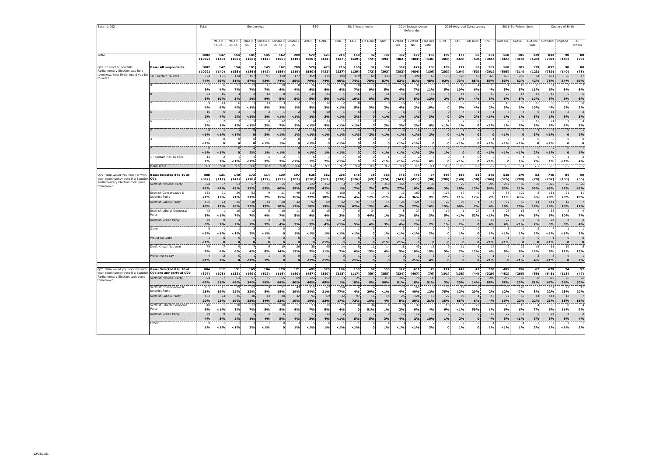| Base: 1,002                                                               |                                           | Total          |                     |                      | GenderxAge                 |                      |                                           |              | <b>SEG</b>            |                   | 2019 Westminster |                            |                              |                       |                    | 2014 Independence<br>Referendum |                          |                           |                            | 2016 Holyrood Constituency |                |                  | 2016 EU Referendum   |                 | Country of Birth |                              |                     |
|---------------------------------------------------------------------------|-------------------------------------------|----------------|---------------------|----------------------|----------------------------|----------------------|-------------------------------------------|--------------|-----------------------|-------------------|------------------|----------------------------|------------------------------|-----------------------|--------------------|---------------------------------|--------------------------|---------------------------|----------------------------|----------------------------|----------------|------------------|----------------------|-----------------|------------------|------------------------------|---------------------|
|                                                                           |                                           |                | Male x<br>$16 - 34$ | Male x<br>$35 - 54$  | Male x<br>$55+$            | $16 - 34$            | Female x: Female x: Female ><br>$35 - 54$ | 55           | ABC1                  | C <sub>2</sub> DE | CON              | LAB                        | Lib Dem                      | SNP                   | I voted<br>Yes     | I voted<br>No                   | I did not<br>vote        | CON                       | LAB                        | Lib Dem                    | SNP            | Remain           | Leave                | Did not<br>vote | Scotland England |                              | All<br>others       |
| Total                                                                     |                                           | 1002<br>(1002) | 147<br>(140)        | 154<br>(155)         | 181<br>(186)               | 145<br>(142)         | 162<br>(156)                              | 209<br>(219) | 579<br>(580)          | 423<br>(422)      | 216<br>(237)     | 160<br>(139)               | 82<br>(72)                   | 387<br>(393)          | 387<br>(382)       | 479<br>(484)                    | 136<br>(136)             | 189<br>(203)              | 177<br>(164)               | 56<br>(53)                 | 361<br>(361)   | 568<br>(565)     | 305<br>(314)         | 129<br>(123)    | 832<br>(789)     | 90<br>(140)                  | 80<br>(73)          |
|                                                                           | <b>Base: All respondents</b>              |                |                     | 154                  | 181                        |                      |                                           | 209          |                       | 423               |                  |                            | 82                           | 387                   | 387                | 479                             | 136                      | 189                       | 177                        |                            |                | 568              | 305                  | 129             |                  | 90                           | 80                  |
| O7a. If another Scottish<br>Parliamentary Election was held               |                                           | 1002<br>(1002) | 147<br>(140)        | (155)                | (186)                      | 145<br>(142)         | 162<br>(156)                              | (219)        | 579<br>(580)          | (422)             | 216<br>(237)     | 160<br>(139)               | (72)                         | (393)                 | (382)              | (484)                           | (136)                    | (203)                     | (164)                      | 56<br>(53)                 | 361<br>(361)   | (565)            | (314)                | (123)           | 832<br>(789)     | (140)                        | (73)                |
| tomorrow, how likely would you be 10 - Certain To Vote<br>to vote?        |                                           | 774            | 101                 | 124                  | 157                        | 91                   | 120                                       | 177          | 459                   | 315               | 194              | 119                        | 64                           | 338                   | 319                | 390                             | 66                       | 173                       | 128                        | 47                         | 320            | 470              | 250                  | 54              | 651              | 76                           | 47                  |
|                                                                           |                                           | 77%<br>61      | 69%                 | 81%<br>11            | 87%<br>13                  | 63%<br>11            | 74%<br>10                                 | 85%          | 79%<br>36             | 74%<br>25         | 90%<br>13        | 74%<br>10                  | 78%                          | 87%<br>1 <sup>5</sup> | 82%<br>15          | 81%<br>31                       | 48%<br>15                | 92%                       | 73%<br>17                  | 85%                        | 89%<br>15      | 83%<br>31        | 82%<br>15            | 42%<br>15       | 78%<br>51        | 84%                          | 59%                 |
|                                                                           |                                           | 6%             | 4%                  | 7%                   | 7%                         | 7%                   | 6%                                        | 4%           | 6%                    | 6%                | 6%               | 7%                         | 9%                           | 5%                    | 4%                 | <b>7%</b>                       | 11%                      | 5%                        | 10%                        | 6%                         | 4%             | 5%               | 5%                   | 11%             | 6%               | 3%                           | 8%                  |
|                                                                           |                                           | 54<br>5%       | 15<br>10%           | 3%                   | $\overline{3}$<br>2%       | 12<br>8%             | 8<br>5%                                   | 11<br>5%     | $\overline{31}$<br>5% | 23<br>5%          | < 1%             | 16<br>10%                  | $\overline{7}$<br>8%         | 11<br>3%              | 13<br>3%           | 25<br>5%                        | 16<br>12%                | 5<br>2%                   | 14<br>8%                   | $\overline{z}$<br>4%       | 10<br>3%       | 27<br>5%         | 14<br>5%             | 13<br>10%       | 42<br>5%         | 5<br>6%                      | 8%                  |
|                                                                           |                                           | 39             | 13                  |                      |                            | 13                   |                                           |              | 27                    | 12                |                  |                            |                              |                       | 16                 | 10                              | 1 <sup>5</sup>           | $\bf{0}$                  |                            |                            |                | 18               |                      | 13              | 30               | $\overline{2}$               |                     |
|                                                                           |                                           | 4%<br>16       | 9%<br>$\sqrt{2}$    | 4%                   | $< 1\%$                    | 9%<br>$\overline{3}$ | 2%<br>$\overline{1}$                      | 1%           | 5%<br>6               | 3%<br>10          | 1%               | 5%<br>5                    | 3%<br>$\mathbf{0}$           | 2%                    | 4%<br>6.           | 2%                              | 10%                      | $\Omega$<br>$\mathbf{0}$  | 5%<br>$\overline{4}$       | 4%<br>$\overline{1}$       | 2%             | 3%<br>6          | 3%<br>$\Delta$       | 10%             | 4%<br>11         | 2%<br>$\overline{2}$         | 9%                  |
|                                                                           |                                           | 2%             | 4%                  | 2%                   | $< 1\%$                    | 2%                   | $1\%$                                     | < 1%         | 1%                    | 2%                | < 1%             | 3%                         | $\mathbf{o}$                 | < 1%                  | 1%                 | 1%                              | 3%                       | $\mathbf{o}$              | 2%                         | 2%                         | < 1%           | $1\%$            | 1%                   | 5%              | 1%               | 3%                           | 3%                  |
|                                                                           |                                           | 27<br>3%       | 1%                  | 1%                   | $< 1\%$                    | 3%                   | 12<br>7%                                  | 2%           | 1%                    | 23<br>5%          | 1%               | $< 1\%$                    | $\mathbf 0$<br>$\bullet$     | 2%                    | $\mathbf{Q}$<br>2% | 2%                              | 6%                       | $< 1\%$                   | 1%                         | $\mathbf 0$                | < 1%           | 1%               | 3%                   | 12<br>9%        | 21<br>3%         | 1<br>2%                      | 5%                  |
|                                                                           |                                           |                |                     |                      | $\overline{0}$             |                      |                                           |              |                       |                   |                  |                            | <sup>1</sup>                 |                       | 3                  |                                 |                          | $\mathbf{0}$              |                            | $\mathbf{0}$               |                | $\Delta$         | $\Omega$             |                 |                  | $\mathbf{0}$                 |                     |
|                                                                           |                                           | < 1%           | 1%                  | $< 1\%$              | $\mathbf{0}$<br>$\circ$    | 2%                   | $1\%$                                     | 1%           | < 1%                  | $1\%$             | < 1%             | $< 1\%$<br>$^{\circ}$      | 2%                           | < 1%                  | $1\%$              | < 1%                            | 2%                       | $\bf{0}$<br>$\Omega$      | $< 1\%$                    | $\mathbf{o}$<br>0          | $\Omega$       | $1\%$            | $\mathbf{o}$         | 3%              | < 1%             | $\mathbf{0}$<br>$\bf 0$      | 2%                  |
|                                                                           |                                           | < 1%           | $\mathbf{o}$        |                      | $\mathbf 0$                | $< 1\%$              | 1%                                        |              | $1\%$                 | $\mathbf{0}$      | 1%               | $\mathbf{o}$               | 0<br>$\mathbf{0}$            |                       | $1\%$              | < 1%                            | $\mathbf 0$              |                           | $< 1\%$                    | $\mathbf o$                | < 1%           | $1\%$            | 1%                   |                 | $< 1\%$          | $\mathbf o$                  | $\mathbf{0}$        |
|                                                                           |                                           |                |                     | $\mathbf{0}$         | $\overline{4}$             |                      | $\mathbf{1}$                              |              |                       |                   |                  | $\overline{0}$             | $\mathbf{0}$                 |                       | $\overline{z}$     |                                 | $\overline{z}$           | $\overline{z}$            | $\Omega$                   | $\Omega$                   |                |                  |                      |                 |                  | $\mathbf{0}$                 |                     |
|                                                                           | - Certain Not To Vote                     | < 1%<br>13     | 1%                  | $\mathbf{o}$         | 2%                         | 1%                   | $1\%$                                     |              | < 1%                  | 1%                | < 1%             | $\mathbf{0}$<br>$^{\circ}$ | $\mathbf{0}$<br>$\mathbf{0}$ | $< 1\%$               | $< 1\%$            | < 1%                            | 2%                       | 1%<br>$\bf{0}$            | $\mathbf{0}$               | $\mathbf 0$<br>0           | < 1%           | $1\%$<br>$\circ$ | < 1%                 | 2%              | < 1%             | $\mathbf{o}$<br>$\mathbf{1}$ | 1%                  |
|                                                                           |                                           | 1%             | 1%                  | < 1%                 | < 1%                       | 3%                   | 2%                                        | < 1%         | 1%                    | 2%                | < 1%             | $\mathbf{o}$               | $\mathbf{0}$                 | < 1%                  | $< 1\%$            | < 1%                            | 6%                       | $\Omega$                  | < 1%                       | $\Omega$                   | < 1%           | $\Omega$         | 1%                   | 7%              | 1%               | $< 1\%$                      | 4%                  |
|                                                                           | Mean score                                | 9.3            | 9.0                 | 9.5                  | 9.6                        | 8.7                  | 9.0                                       | 9.6          | 9.4                   | 9.1               | 9.7              | 9.4                        | 9.6                          | 9.7                   | 9.4                | 9.5                             | 8.1                      | 9.8                       | 9.3                        | 9.7                        | 9.7            | 9.5              | 9.4                  | 7.7             | 9.3              | 9.5                          | 8.1                 |
| Q7b. Who would you vote for with                                          | Base: Selected 8 to 10 at                 | 888            | 121                 | 140                  | 173                        | 114                  | 139                                       | 197          | 526                   | 362               | 208              | 145                        | 78                           | 368                   | 346                | 446                             | 97                       | 186                       | 159                        | 53                         | 345            | 528              | 279                  | 82              | 745              | 84                           | 60                  |
| your constituency vote if a Scottish<br>Parliamentary Election took place | 07a<br><b>Scottish National Party</b>     | (892)<br>374   | (117)<br>57         | (141)<br>63          | (178)<br>57                | (112)<br>71          | (133)<br>55                               | (207)<br>69  | (530)<br>222          | (362)<br>152      | (228)            | (126)<br>25                | (69)<br>5                    | (374)<br>319          | (343)<br>265       | (451)<br>70                     | (98)<br>38               | (200)<br>5                | (148)<br>29                | (50)                       | (346)<br>289   | (526)<br>282     | (288)<br>60          | (78)<br>32      | (707)<br>322     | (130)<br>26                  | (55)<br>26          |
| tomorrow?                                                                 |                                           | 42%            | 47%                 | 45%                  | 33%                        | 63%                  | 40%                                       | 35%          | 42%                   | 42%               | 1%               | 17%                        | 7%                           | 87%                   | 77%                | 16%                             | 40%                      | 3%                        | 18%                        | 13%                        | 84%            | 53%              | 21%                  | 39%             | 43%              | 32%                          | 43%                 |
|                                                                           | Scottish Conservative &<br>Unionist Party | 182<br>21%     | 21<br>17%           | 29<br>21%            | 53<br>31%                  | 7%                   | 21<br>15%                                 | 4S<br>25%    | 115<br>22%            | 67<br>18%         | 150<br>72%       | 4%                         | 14<br>17%                    | < 1%                  | 13<br>4%           | 160<br>36%                      | 9%                       | 133<br>72%                | 17<br>11%                  | 17%                        | 2%             | 58<br>11%        | 120<br>43%           | 6%              | 151<br>20%       | 21<br>25%                    | $\mathbf{1}$<br>18% |
|                                                                           | Scottish Labour Party                     | 162            | 23                  | 25                   | 38                         | 14                   | 28                                        | 32           | 92                    | 69                | 32               | 97                         | 10                           | 14                    | 25                 | 121                             | 16                       | 27                        | 96                         |                            | 15             | 92               | 55                   | 14              | 141              | 13                           |                     |
|                                                                           | Scottish Liberal Democrat                 | 18%<br>48      | 19%                 | 18%<br>10            | 22%<br>12                  | 13%                  | 20%<br>10                                 | 17%<br>11    | 18%<br>33             | 19%<br>15         | 15%              | 67%                        | 13%<br>34                    | 4%                    | 7%<br>8            | 27%<br>37                       | 16%                      | 15%<br>10                 | 60%                        | 7%<br>27                   | 4%             | 18%<br>28        | 20%<br>16            | 17%             | 19%<br>35        | 16%                          | 12%                 |
|                                                                           | Party                                     | 5%             | < 1%                | 7%                   | 7%                         | 4%                   | 7%                                        | 5%           | 6%                    | 4%                | 3%               | $\Omega$                   | 44%                          | 1%                    | 2%                 | 8%                              | 3%                       | 5%                        | $1\%$                      | 52%                        | < 1%           | 5%               | 6%                   | 5%              | 5%               | 10%                          | 7%                  |
|                                                                           | <b>Scottish Green Party</b>               | 30<br>3%       |                     |                      | $\overline{2}$             |                      | 6                                         |              | 17                    | 13                |                  |                            | $\overline{\mathbf{3}}$      |                       | 13                 | 10                              |                          |                           |                            |                            | 13             | 22               | -2                   |                 | 24               |                              |                     |
|                                                                           | Other                                     |                | 7%                  | 2%                   | 1%                         | 3%                   | 4%<br>£.                                  | 3%           | 3%                    | 4%                | $< 1\%$          | 5%                         | 4%<br>$\Omega$               | 3%                    | 4%<br>з            | 2%                              | 7%                       | 1%<br>-0                  | 2%                         | $\mathbf{o}$<br>n          | 4%             | 4%               | $< 1\%$              | 7%              | 3%               | 5%                           | 4%                  |
|                                                                           |                                           | < 1%           | < 1%                | $< 1\%$              | 2%                         | $< 1\%$              | $\mathbf o$                               | 1%           | $1\%$                 | 1%                | $< 1\%$          | $< 1\%$                    | $\bullet$                    | 1%                    | < 1%               | < 1%                            | 2%                       |                           | $1\%$                      | $\mathbf 0$                | 1%             | $1\%$            | 1%                   | 2%              | < 1%             | $< 1\%$                      | 2%                  |
|                                                                           | Would not vote                            | < 1%           | $\Omega$            | $\Omega$<br>$\Omega$ | $\overline{0}$<br>$\Omega$ | $\Omega$<br>$\Omega$ | $\mathbf{0}$<br>$\Omega$                  |              | $\Omega$<br>$\Omega$  | 1%                | $\Omega$         | $\mathbf{o}$               | $\mathbf{0}$<br>$\Omega$     | < 1%                  | $< 1\%$            | $\Omega$                        | $\mathbf{0}$<br>$\Omega$ | $\mathbf{0}$<br>$\Omega$  | $\overline{0}$<br>$\Omega$ | $\overline{0}$<br>$\Omega$ | < 1%           | $1\%$            | $\Omega$<br>$\Omega$ | $\Omega$        | < 1%             | $\mathbf{0}$<br>$\Omega$     | $\mathbf{o}$        |
|                                                                           | Don't Know/ Not sure                      | 79             |                     |                      |                            |                      | 19                                        | 26           | 38                    | 40                | 14               | 8                          | 11                           | $\mathbf{1}$          | 18                 | 43                              | 18                       | q                         | 11                         |                            | 1 <sup>2</sup> | 42               | 22                   | 16              | 6                | 10                           |                     |
|                                                                           | Prefer not to say                         | 9%             | 6%                  | 6%<br>n              | 4%                         | 8%                   | 14%                                       | 13%          | 7%                    | 11%               | 7%               | 6%                         | 15%<br>$\Omega$              | 4%                    | 5%<br>$\Omega$     | 10%                             | 19%                      | 5%<br>$\Omega$            | 7%<br>$\Omega$             | 12%                        | 4%             | 8%<br>$\Omega$   | 8%                   | 19%             | 8%               | 12%                          | 13%                 |
|                                                                           |                                           | < 1%           | 2%                  |                      | $< 1\%$                    | 1%                   | $\mathbf 0$                               |              | < 1%                  | $< 1\%$           |                  | < 1%                       | $\mathbf{0}$                 |                       | $\mathbf{o}$       | < 1%                            | 4%                       |                           |                            |                            | < 1%           | $\mathbf 0$      | < 1%                 | 4%              | < 1%             | $\Omega$                     | 2%                  |
|                                                                           | Base: Selected 8 to 10 at                 | 804            | 112                 | 131                  | 165                        | 104                  | 120                                       | 171          | 485                   | 320               | 194              | 135                        | 67                           | 353                   | 327                | 402                             | 75                       | 177                       | 149                        | 47                         | 330            | 485              | 256                  | 62              | 679              | 74                           | 52                  |
| Q7b. Who would you vote for with<br>vour constituency yote if a Scottish  | Q7a and any party at Q7b                  | (807)          | (108)               | (132)                | (169)                      | (102)                | (115)                                     | (180)        | (487)                 | (320)             | (213)            | (117)                      | (59)                         | (358)                 | (324)              | (407)                           | (76)                     | (191)                     | (138)                      | (44)                       | (329)          | (482)            | (266)                | (59)            | (645)            | (115)                        | (47)                |
| Parliamentary Election took place<br>tomorrow?                            | <b>Scottish National Party</b>            | 374<br>47%     | 57                  | 63<br>48%            | 57                         | 71<br>69%            | 55<br>46%                                 | 69           | 222<br>46%            | 152<br>48%        |                  | 25                         | 5                            | 319<br>90%            | 265                | 70                              | 38                       |                           | 29                         |                            | 289<br>88%     | 282<br>58%       | 60<br>23%            | 32              | 322<br>47%       | 26                           | 26<br>50%           |
|                                                                           | Scottish Conservative &                   | 182            | 51%<br>21           | 29                   | 34%<br>53                  |                      | 21                                        | 40%<br>4S    | 115                   | 67                | 1%<br>150        | 18%                        | 8%<br>14                     |                       | 81%<br>13          | 18%<br>160                      | 51%                      | 3%<br>133                 | 20%<br>17                  | 14%                        |                | 58               | 120                  | 51%             | 151              | 36%<br>21                    | 11                  |
|                                                                           | Unionist Party                            | 23%            | 19%                 | 22%                  | 32%                        | 8%                   | 18%                                       | 29%          | 24%                   | 21%               | 77%              | 4%                         | 20%                          | < 1%                  | 4%                 | 40%                             | 12%                      | 75%                       | 12%                        | 20%                        | 2%             | 12%              | 47%                  | 8%              | 22%              | 28%                          | 20%                 |
|                                                                           | Scottish Labour Party                     | 162<br>20%     | 23<br>21%           | 25<br>19%            | 38<br>23%                  | 14<br>14%            | 28<br>23%                                 | 32<br>19%    | 92<br>19%             | 69<br>22%         | 32<br>17%        | 97<br>72%                  | 10<br>16%                    | 14<br>4%              | 25<br>8%           | 121<br>30%                      | 16<br>21%                | 27<br>15%                 | 96<br>65%                  | 8%                         | 15<br>4%       | 92<br>19%        | 55<br>22%            | 14<br>22%       | 141<br>21%       | 13<br>18%                    | 15%                 |
|                                                                           | <b>Scottish Liberal Democrat</b>          | 48             |                     | 10                   | 12                         |                      | 10                                        | 11           | -33                   | 15                |                  |                            | 34                           |                       | 8                  | 37                              |                          | 10                        |                            | 27                         |                | 28               | 16                   |                 | 35               |                              |                     |
|                                                                           | Party<br>Scottish Green Party             | 6%<br>30       | $1\%$               | 8%                   | 7%                         | 5%                   | 8%                                        | 6%           | 7%<br>17              | 5%<br>13          | 4%               | $\Omega$                   | 51%                          | 1%                    | 2%<br>13           | 9%<br>10                        | 4%                       | 6%                        | $1\%$                      | 59%                        | 1%<br>13       | 6%<br>22         | 6%                   | 7%              | 5%<br>24         | 11%                          | 9%                  |
|                                                                           |                                           | 4%             | 8%                  | 2%                   | 1%                         | 4%                   | 5%                                        | 4%           | 3%                    | 4%                | < 1%             | 5%                         | 5%                           | 3%                    | 4%                 | 2%                              | 10%                      | 1%                        | 2%                         | $\Omega$                   | 4%             | 5%               | 1%                   | 9%              | 3%               | 5%                           | 4%                  |
|                                                                           | Other                                     | 1%             | < 1%                | $< 1\%$              | 2%                         | $< 1\%$              | $^{\circ}$<br>$\mathbf 0$                 | 1%           | $1\%$                 | 1%                | $< 1\%$          | $< 1\%$                    | 0<br>$\bullet$               | 1%                    | 3<br>$< 1\%$       | $< 1\%$                         | 3%                       | $^{\circ}$<br>$\mathbf 0$ | 2<br>1%                    | 0<br>$\mathbf{0}$          | 1%             | < 1%             | $1\%$                | 3%              | 1%               | 1<br>$< 1\%$                 | 2%                  |
|                                                                           |                                           |                |                     |                      |                            |                      |                                           |              |                       |                   |                  |                            |                              |                       |                    |                                 |                          |                           |                            |                            |                |                  |                      |                 |                  |                              |                     |